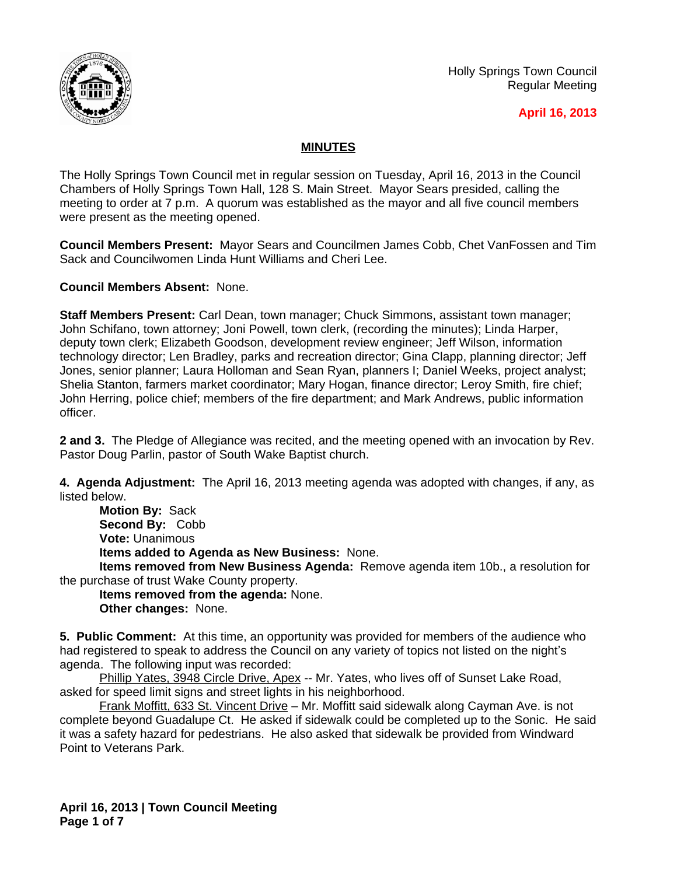

Holly Springs Town Council Regular Meeting

## **April 16, 2013**

## **MINUTES**

The Holly Springs Town Council met in regular session on Tuesday, April 16, 2013 in the Council Chambers of Holly Springs Town Hall, 128 S. Main Street. Mayor Sears presided, calling the meeting to order at 7 p.m. A quorum was established as the mayor and all five council members were present as the meeting opened.

**Council Members Present:** Mayor Sears and Councilmen James Cobb, Chet VanFossen and Tim Sack and Councilwomen Linda Hunt Williams and Cheri Lee.

**Council Members Absent:** None.

**Staff Members Present:** Carl Dean, town manager; Chuck Simmons, assistant town manager; John Schifano, town attorney; Joni Powell, town clerk, (recording the minutes); Linda Harper, deputy town clerk; Elizabeth Goodson, development review engineer; Jeff Wilson, information technology director; Len Bradley, parks and recreation director; Gina Clapp, planning director; Jeff Jones, senior planner; Laura Holloman and Sean Ryan, planners I; Daniel Weeks, project analyst; Shelia Stanton, farmers market coordinator; Mary Hogan, finance director; Leroy Smith, fire chief; John Herring, police chief; members of the fire department; and Mark Andrews, public information officer.

**2 and 3.** The Pledge of Allegiance was recited, and the meeting opened with an invocation by Rev. Pastor Doug Parlin, pastor of South Wake Baptist church.

**4. Agenda Adjustment:** The April 16, 2013 meeting agenda was adopted with changes, if any, as listed below.

**Motion By:** Sack **Second By:** Cobb **Vote:** Unanimous **Items added to Agenda as New Business:** None.

**Items removed from New Business Agenda:** Remove agenda item 10b., a resolution for the purchase of trust Wake County property.

**Items removed from the agenda:** None. **Other changes:** None.

**5. Public Comment:** At this time, an opportunity was provided for members of the audience who had registered to speak to address the Council on any variety of topics not listed on the night's agenda. The following input was recorded:

Phillip Yates, 3948 Circle Drive, Apex -- Mr. Yates, who lives off of Sunset Lake Road, asked for speed limit signs and street lights in his neighborhood.

Frank Moffitt, 633 St. Vincent Drive - Mr. Moffitt said sidewalk along Cayman Ave. is not complete beyond Guadalupe Ct. He asked if sidewalk could be completed up to the Sonic. He said it was a safety hazard for pedestrians. He also asked that sidewalk be provided from Windward Point to Veterans Park.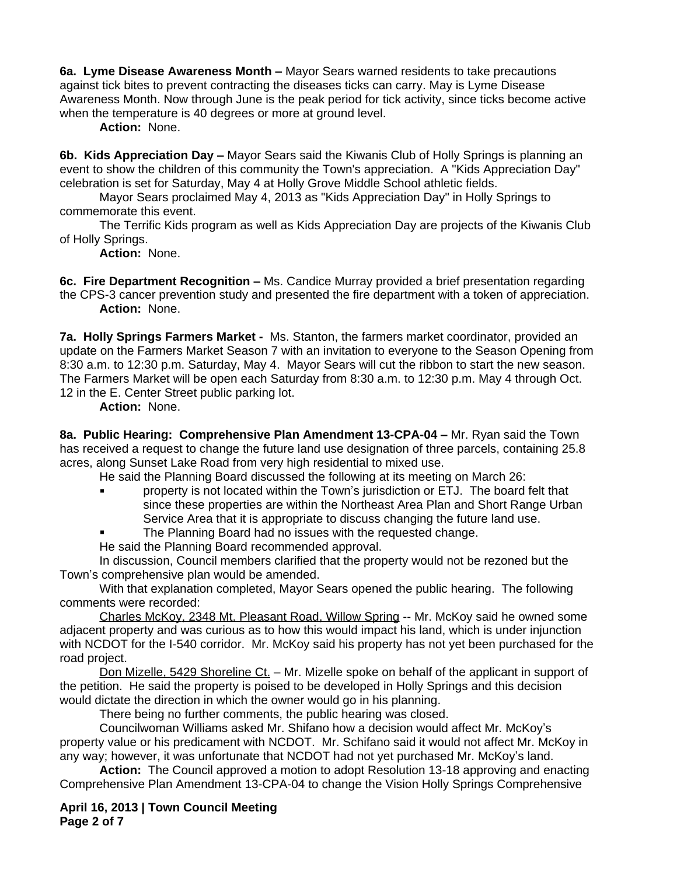**6a. Lyme Disease Awareness Month –** Mayor Sears warned residents to take precautions against tick bites to prevent contracting the diseases ticks can carry. May is Lyme Disease Awareness Month. Now through June is the peak period for tick activity, since ticks become active when the temperature is 40 degrees or more at ground level.

**Action:** None.

**6b. Kids Appreciation Day –** Mayor Sears said the Kiwanis Club of Holly Springs is planning an event to show the children of this community the Town's appreciation. A "Kids Appreciation Day" celebration is set for Saturday, May 4 at Holly Grove Middle School athletic fields.

Mayor Sears proclaimed May 4, 2013 as "Kids Appreciation Day" in Holly Springs to commemorate this event.

The Terrific Kids program as well as Kids Appreciation Day are projects of the Kiwanis Club of Holly Springs.

**Action:** None.

**6c. Fire Department Recognition –** Ms. Candice Murray provided a brief presentation regarding the CPS-3 cancer prevention study and presented the fire department with a token of appreciation. **Action:** None.

**7a. Holly Springs Farmers Market -** Ms. Stanton, the farmers market coordinator, provided an update on the Farmers Market Season 7 with an invitation to everyone to the Season Opening from 8:30 a.m. to 12:30 p.m. Saturday, May 4. Mayor Sears will cut the ribbon to start the new season. The Farmers Market will be open each Saturday from 8:30 a.m. to 12:30 p.m. May 4 through Oct. 12 in the E. Center Street public parking lot.

**Action:** None.

**8a. Public Hearing: Comprehensive Plan Amendment 13-CPA-04 –** Mr. Ryan said the Town has received a request to change the future land use designation of three parcels, containing 25.8 acres, along Sunset Lake Road from very high residential to mixed use.

He said the Planning Board discussed the following at its meeting on March 26:

- property is not located within the Town's jurisdiction or ETJ. The board felt that since these properties are within the Northeast Area Plan and Short Range Urban Service Area that it is appropriate to discuss changing the future land use.
- The Planning Board had no issues with the requested change.

He said the Planning Board recommended approval.

In discussion, Council members clarified that the property would not be rezoned but the Town's comprehensive plan would be amended.

With that explanation completed, Mayor Sears opened the public hearing. The following comments were recorded:

Charles McKoy, 2348 Mt. Pleasant Road, Willow Spring -- Mr. McKoy said he owned some adjacent property and was curious as to how this would impact his land, which is under injunction with NCDOT for the I-540 corridor. Mr. McKoy said his property has not yet been purchased for the road project.

Don Mizelle, 5429 Shoreline Ct. – Mr. Mizelle spoke on behalf of the applicant in support of the petition. He said the property is poised to be developed in Holly Springs and this decision would dictate the direction in which the owner would go in his planning.

There being no further comments, the public hearing was closed.

Councilwoman Williams asked Mr. Shifano how a decision would affect Mr. McKoy's property value or his predicament with NCDOT. Mr. Schifano said it would not affect Mr. McKoy in any way; however, it was unfortunate that NCDOT had not yet purchased Mr. McKoy's land.

**Action:** The Council approved a motion to adopt Resolution 13-18 approving and enacting Comprehensive Plan Amendment 13-CPA-04 to change the Vision Holly Springs Comprehensive

**April 16, 2013 | Town Council Meeting Page 2 of 7**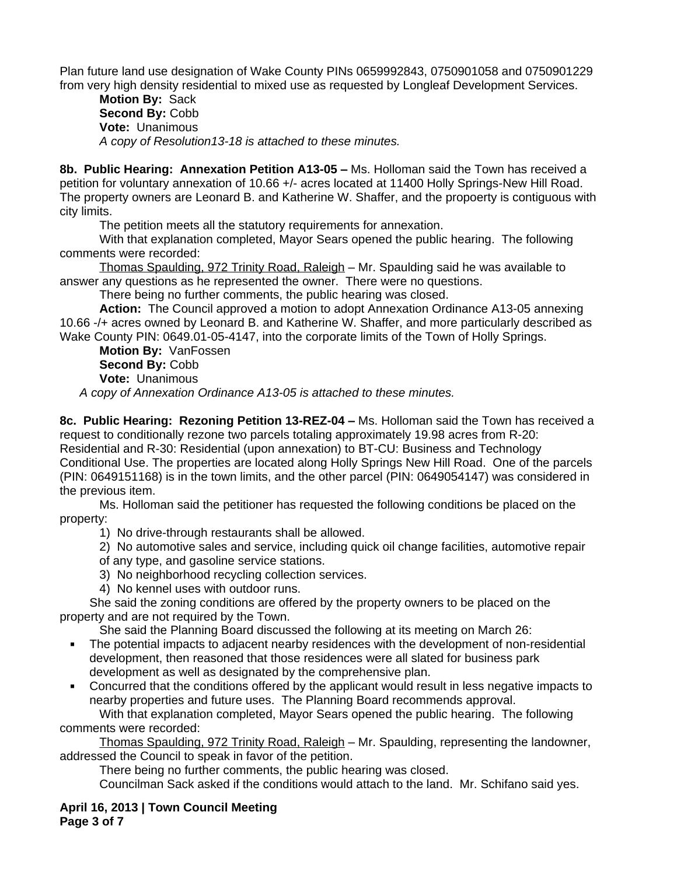Plan future land use designation of Wake County PINs 0659992843, 0750901058 and 0750901229 from very high density residential to mixed use as requested by Longleaf Development Services.

**Motion By:** Sack Second By: Cobb **Vote:** Unanimous *A copy of Resolution13-18 is attached to these minutes.*

**8b. Public Hearing: Annexation Petition A13-05 –** Ms. Holloman said the Town has received a petition for voluntary annexation of 10.66 +/- acres located at 11400 Holly Springs-New Hill Road. The property owners are Leonard B. and Katherine W. Shaffer, and the propoerty is contiguous with city limits.

The petition meets all the statutory requirements for annexation.

With that explanation completed, Mayor Sears opened the public hearing. The following comments were recorded:

Thomas Spaulding, 972 Trinity Road, Raleigh – Mr. Spaulding said he was available to answer any questions as he represented the owner. There were no questions.

There being no further comments, the public hearing was closed.

**Action:** The Council approved a motion to adopt Annexation Ordinance A13-05 annexing 10.66 -/+ acres owned by Leonard B. and Katherine W. Shaffer, and more particularly described as Wake County PIN: 0649.01-05-4147, into the corporate limits of the Town of Holly Springs.

**Motion By:** VanFossen **Second By:** Cobb **Vote:** Unanimous

*A copy of Annexation Ordinance A13-05 is attached to these minutes.*

**8c. Public Hearing: Rezoning Petition 13-REZ-04 –** Ms. Holloman said the Town has received a request to conditionally rezone two parcels totaling approximately 19.98 acres from R-20: Residential and R-30: Residential (upon annexation) to BT-CU: Business and Technology Conditional Use. The properties are located along Holly Springs New Hill Road. One of the parcels (PIN: 0649151168) is in the town limits, and the other parcel (PIN: 0649054147) was considered in the previous item.

Ms. Holloman said the petitioner has requested the following conditions be placed on the property:

1) No drive-through restaurants shall be allowed.

2) No automotive sales and service, including quick oil change facilities, automotive repair

- of any type, and gasoline service stations.
- 3) No neighborhood recycling collection services.
- 4) No kennel uses with outdoor runs.

She said the zoning conditions are offered by the property owners to be placed on the property and are not required by the Town.

She said the Planning Board discussed the following at its meeting on March 26:

- The potential impacts to adjacent nearby residences with the development of non-residential development, then reasoned that those residences were all slated for business park development as well as designated by the comprehensive plan.
- Concurred that the conditions offered by the applicant would result in less negative impacts to nearby properties and future uses. The Planning Board recommends approval.

With that explanation completed, Mayor Sears opened the public hearing. The following comments were recorded:

Thomas Spaulding, 972 Trinity Road, Raleigh – Mr. Spaulding, representing the landowner, addressed the Council to speak in favor of the petition.

There being no further comments, the public hearing was closed.

Councilman Sack asked if the conditions would attach to the land. Mr. Schifano said yes.

**April 16, 2013 | Town Council Meeting Page 3 of 7**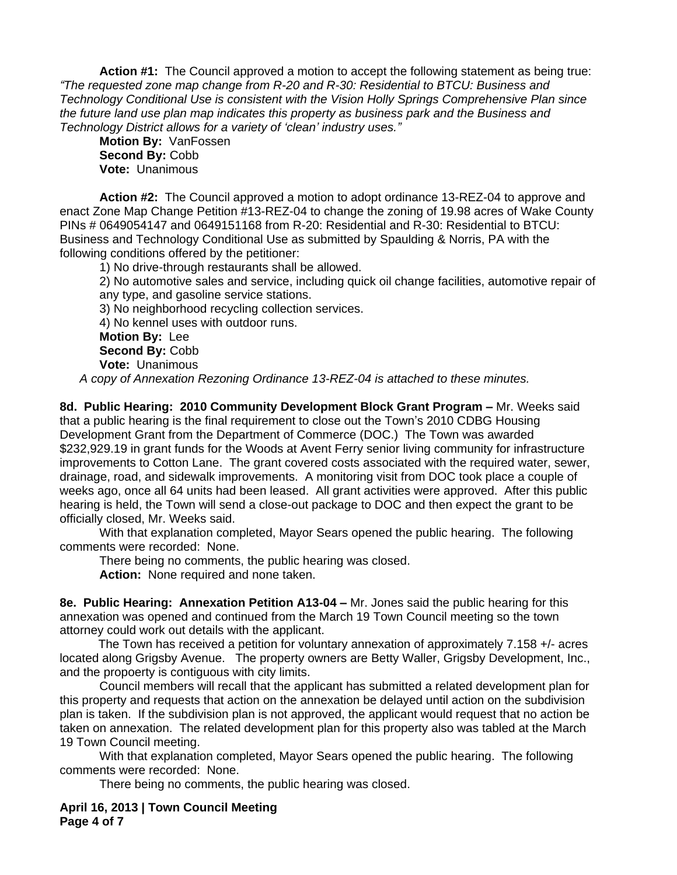**Action #1:** The Council approved a motion to accept the following statement as being true: *"The requested zone map change from R-20 and R-30: Residential to BTCU: Business and Technology Conditional Use is consistent with the Vision Holly Springs Comprehensive Plan since the future land use plan map indicates this property as business park and the Business and Technology District allows for a variety of 'clean' industry uses."*

**Motion By:** VanFossen **Second By:** Cobb **Vote:** Unanimous

**Action #2:** The Council approved a motion to adopt ordinance 13-REZ-04 to approve and enact Zone Map Change Petition #13-REZ-04 to change the zoning of 19.98 acres of Wake County PINs # 0649054147 and 0649151168 from R-20: Residential and R-30: Residential to BTCU: Business and Technology Conditional Use as submitted by Spaulding & Norris, PA with the following conditions offered by the petitioner:

1) No drive-through restaurants shall be allowed.

2) No automotive sales and service, including quick oil change facilities, automotive repair of any type, and gasoline service stations.

3) No neighborhood recycling collection services.

4) No kennel uses with outdoor runs.

**Motion By:** Lee **Second By:** Cobb **Vote:** Unanimous

*A copy of Annexation Rezoning Ordinance 13-REZ-04 is attached to these minutes.*

8d. Public Hearing: 2010 Community Development Block Grant Program - Mr. Weeks said that a public hearing is the final requirement to close out the Town's 2010 CDBG Housing Development Grant from the Department of Commerce (DOC.) The Town was awarded \$232,929.19 in grant funds for the Woods at Avent Ferry senior living community for infrastructure improvements to Cotton Lane. The grant covered costs associated with the required water, sewer, drainage, road, and sidewalk improvements. A monitoring visit from DOC took place a couple of weeks ago, once all 64 units had been leased. All grant activities were approved. After this public hearing is held, the Town will send a close-out package to DOC and then expect the grant to be officially closed, Mr. Weeks said.

With that explanation completed, Mayor Sears opened the public hearing. The following comments were recorded: None.

There being no comments, the public hearing was closed.

**Action:** None required and none taken.

**8e. Public Hearing: Annexation Petition A13-04 –** Mr. Jones said the public hearing for this annexation was opened and continued from the March 19 Town Council meeting so the town attorney could work out details with the applicant.

The Town has received a petition for voluntary annexation of approximately 7.158 +/- acres located along Grigsby Avenue. The property owners are Betty Waller, Grigsby Development, Inc., and the propoerty is contiguous with city limits.

Council members will recall that the applicant has submitted a related development plan for this property and requests that action on the annexation be delayed until action on the subdivision plan is taken. If the subdivision plan is not approved, the applicant would request that no action be taken on annexation. The related development plan for this property also was tabled at the March 19 Town Council meeting.

With that explanation completed, Mayor Sears opened the public hearing. The following comments were recorded: None.

There being no comments, the public hearing was closed.

**April 16, 2013 | Town Council Meeting Page 4 of 7**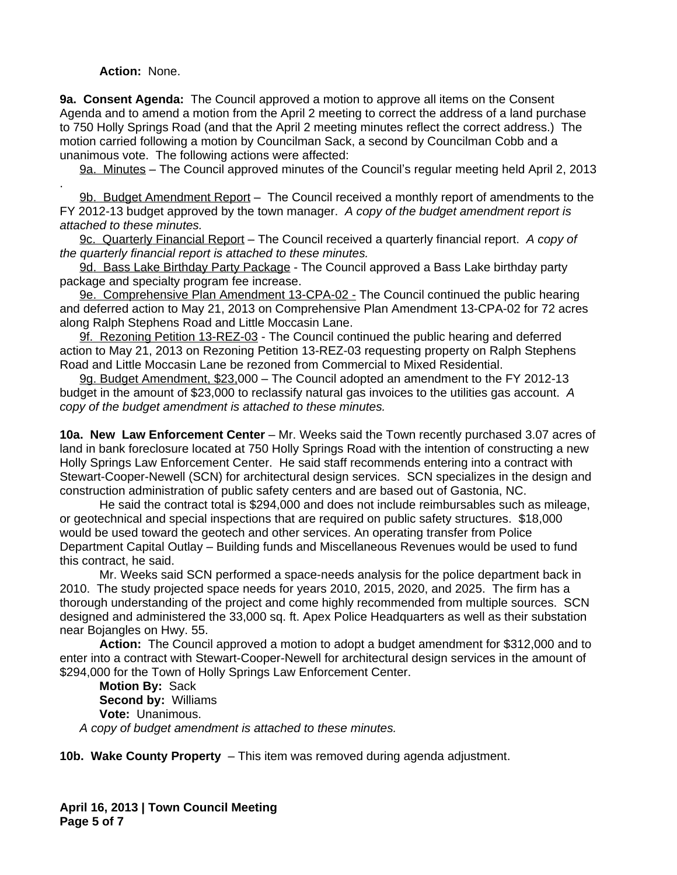## **Action:** None.

**9a. Consent Agenda:** The Council approved a motion to approve all items on the Consent Agenda and to amend a motion from the April 2 meeting to correct the address of a land purchase to 750 Holly Springs Road (and that the April 2 meeting minutes reflect the correct address.) The motion carried following a motion by Councilman Sack, a second by Councilman Cobb and a unanimous vote. The following actions were affected:

9a. Minutes – The Council approved minutes of the Council's regular meeting held April 2, 2013

. 9b. Budget Amendment Report – The Council received a monthly report of amendments to the FY 2012-13 budget approved by the town manager. *A copy of the budget amendment report is attached to these minutes.*

9c. Quarterly Financial Report – The Council received a quarterly financial report. *A copy of the quarterly financial report is attached to these minutes.*

9d. Bass Lake Birthday Party Package - The Council approved a Bass Lake birthday party package and specialty program fee increase.

9e. Comprehensive Plan Amendment 13-CPA-02 - The Council continued the public hearing and deferred action to May 21, 2013 on Comprehensive Plan Amendment 13-CPA-02 for 72 acres along Ralph Stephens Road and Little Moccasin Lane.

9f. Rezoning Petition 13-REZ-03 - The Council continued the public hearing and deferred action to May 21, 2013 on Rezoning Petition 13-REZ-03 requesting property on Ralph Stephens Road and Little Moccasin Lane be rezoned from Commercial to Mixed Residential.

9g. Budget Amendment, \$23,000 – The Council adopted an amendment to the FY 2012-13 budget in the amount of \$23,000 to reclassify natural gas invoices to the utilities gas account. *A copy of the budget amendment is attached to these minutes.*

**10a. New Law Enforcement Center** – Mr. Weeks said the Town recently purchased 3.07 acres of land in bank foreclosure located at 750 Holly Springs Road with the intention of constructing a new Holly Springs Law Enforcement Center. He said staff recommends entering into a contract with Stewart-Cooper-Newell (SCN) for architectural design services. SCN specializes in the design and construction administration of public safety centers and are based out of Gastonia, NC.

He said the contract total is \$294,000 and does not include reimbursables such as mileage, or geotechnical and special inspections that are required on public safety structures. \$18,000 would be used toward the geotech and other services. An operating transfer from Police Department Capital Outlay – Building funds and Miscellaneous Revenues would be used to fund this contract, he said.

Mr. Weeks said SCN performed a space-needs analysis for the police department back in 2010. The study projected space needs for years 2010, 2015, 2020, and 2025. The firm has a thorough understanding of the project and come highly recommended from multiple sources. SCN designed and administered the 33,000 sq. ft. Apex Police Headquarters as well as their substation near Bojangles on Hwy. 55.

**Action:** The Council approved a motion to adopt a budget amendment for \$312,000 and to enter into a contract with Stewart-Cooper-Newell for architectural design services in the amount of \$294,000 for the Town of Holly Springs Law Enforcement Center.

**Motion By:** Sack **Second by:** Williams **Vote:** Unanimous. *A copy of budget amendment is attached to these minutes.*

**10b. Wake County Property** – This item was removed during agenda adjustment.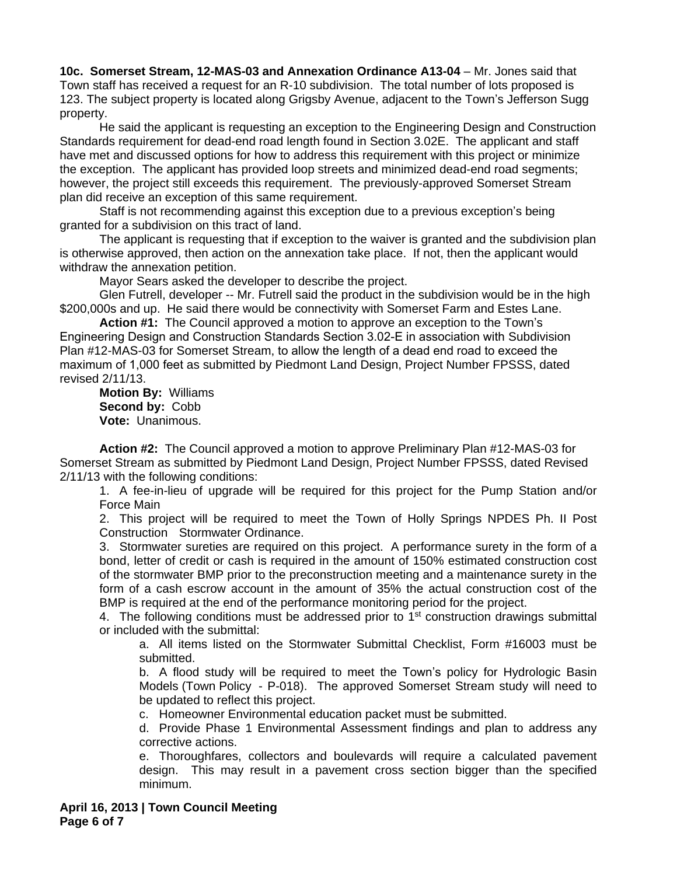**10c. Somerset Stream, 12-MAS-03 and Annexation Ordinance A13-04** – Mr. Jones said that Town staff has received a request for an R-10 subdivision. The total number of lots proposed is 123. The subject property is located along Grigsby Avenue, adjacent to the Town's Jefferson Sugg property.

He said the applicant is requesting an exception to the Engineering Design and Construction Standards requirement for dead-end road length found in Section 3.02E. The applicant and staff have met and discussed options for how to address this requirement with this project or minimize the exception. The applicant has provided loop streets and minimized dead-end road segments; however, the project still exceeds this requirement. The previously-approved Somerset Stream plan did receive an exception of this same requirement.

Staff is not recommending against this exception due to a previous exception's being granted for a subdivision on this tract of land.

The applicant is requesting that if exception to the waiver is granted and the subdivision plan is otherwise approved, then action on the annexation take place. If not, then the applicant would withdraw the annexation petition.

Mayor Sears asked the developer to describe the project.

Glen Futrell, developer -- Mr. Futrell said the product in the subdivision would be in the high \$200,000s and up. He said there would be connectivity with Somerset Farm and Estes Lane.

**Action #1:** The Council approved a motion to approve an exception to the Town's Engineering Design and Construction Standards Section 3.02-E in association with Subdivision Plan #12-MAS-03 for Somerset Stream, to allow the length of a dead end road to exceed the maximum of 1,000 feet as submitted by Piedmont Land Design, Project Number FPSSS, dated revised 2/11/13.

**Motion By:** Williams **Second by:** Cobb **Vote:** Unanimous.

**Action #2:** The Council approved a motion to approve Preliminary Plan #12-MAS-03 for Somerset Stream as submitted by Piedmont Land Design, Project Number FPSSS, dated Revised 2/11/13 with the following conditions:

1. A fee-in-lieu of upgrade will be required for this project for the Pump Station and/or Force Main

2. This project will be required to meet the Town of Holly Springs NPDES Ph. II Post Construction Stormwater Ordinance.

3. Stormwater sureties are required on this project. A performance surety in the form of a bond, letter of credit or cash is required in the amount of 150% estimated construction cost of the stormwater BMP prior to the preconstruction meeting and a maintenance surety in the form of a cash escrow account in the amount of 35% the actual construction cost of the BMP is required at the end of the performance monitoring period for the project.

4. The following conditions must be addressed prior to 1<sup>st</sup> construction drawings submittal or included with the submittal:

a. All items listed on the Stormwater Submittal Checklist, Form #16003 must be submitted.

b. A flood study will be required to meet the Town's policy for Hydrologic Basin Models (Town Policy - P-018). The approved Somerset Stream study will need to be updated to reflect this project.

c. Homeowner Environmental education packet must be submitted.

d. Provide Phase 1 Environmental Assessment findings and plan to address any corrective actions.

e. Thoroughfares, collectors and boulevards will require a calculated pavement design. This may result in a pavement cross section bigger than the specified minimum.

**April 16, 2013 | Town Council Meeting Page 6 of 7**